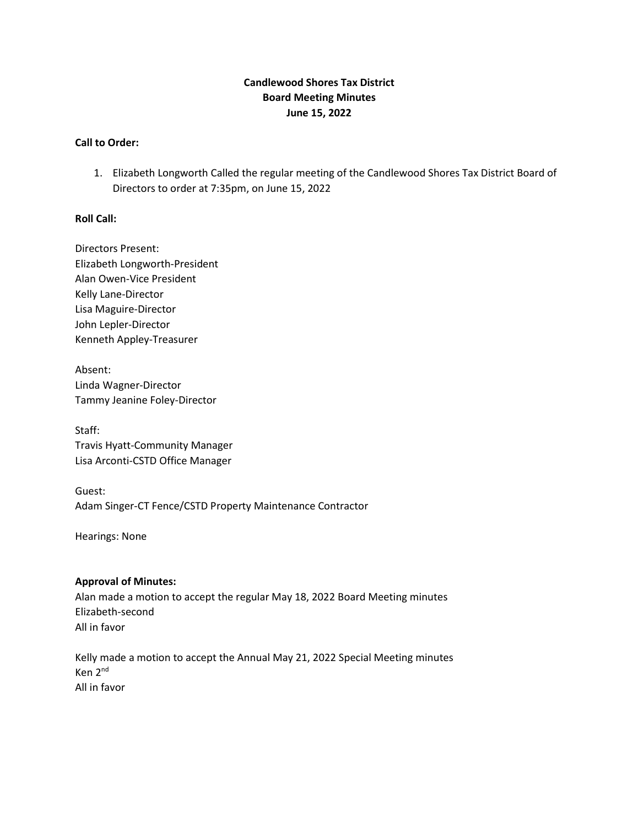# Candlewood Shores Tax District Board Meeting Minutes June 15, 2022

# Call to Order:

1. Elizabeth Longworth Called the regular meeting of the Candlewood Shores Tax District Board of Directors to order at 7:35pm, on June 15, 2022

# Roll Call:

Directors Present: Elizabeth Longworth-President Alan Owen-Vice President Kelly Lane-Director Lisa Maguire-Director John Lepler-Director Kenneth Appley-Treasurer

Absent: Linda Wagner-Director Tammy Jeanine Foley-Director

Staff: Travis Hyatt-Community Manager Lisa Arconti-CSTD Office Manager

Guest: Adam Singer-CT Fence/CSTD Property Maintenance Contractor

Hearings: None

# Approval of Minutes:

Alan made a motion to accept the regular May 18, 2022 Board Meeting minutes Elizabeth-second All in favor

Kelly made a motion to accept the Annual May 21, 2022 Special Meeting minutes Ken 2nd All in favor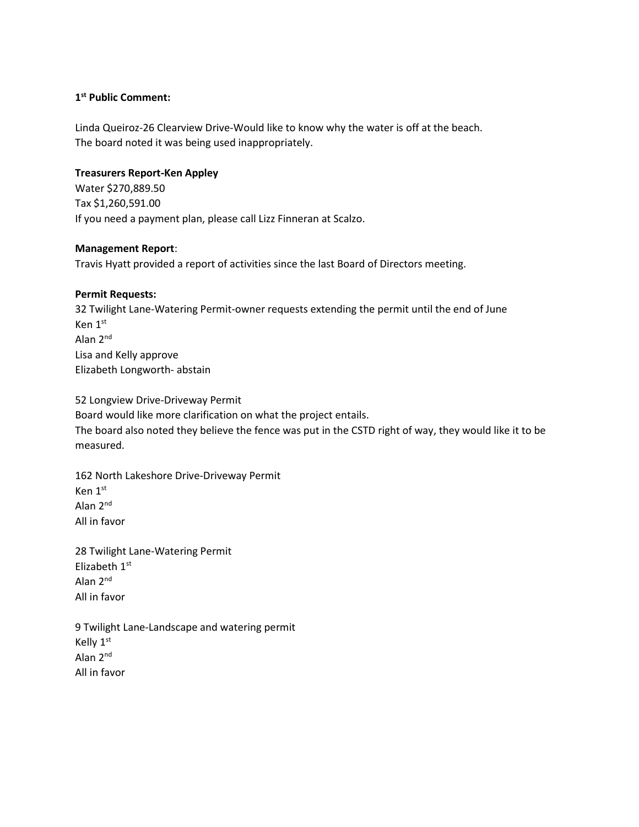# 1<sup>st</sup> Public Comment:

Linda Queiroz-26 Clearview Drive-Would like to know why the water is off at the beach. The board noted it was being used inappropriately.

#### Treasurers Report-Ken Appley

Water \$270,889.50 Tax \$1,260,591.00 If you need a payment plan, please call Lizz Finneran at Scalzo.

#### Management Report:

Travis Hyatt provided a report of activities since the last Board of Directors meeting.

#### Permit Requests:

32 Twilight Lane-Watering Permit-owner requests extending the permit until the end of June Ken 1st Alan 2nd Lisa and Kelly approve Elizabeth Longworth- abstain

52 Longview Drive-Driveway Permit Board would like more clarification on what the project entails. The board also noted they believe the fence was put in the CSTD right of way, they would like it to be measured.

162 North Lakeshore Drive-Driveway Permit Ken 1st Alan 2nd All in favor

28 Twilight Lane-Watering Permit Elizabeth 1st Alan 2nd All in favor

9 Twilight Lane-Landscape and watering permit Kelly 1<sup>st</sup> Alan 2nd All in favor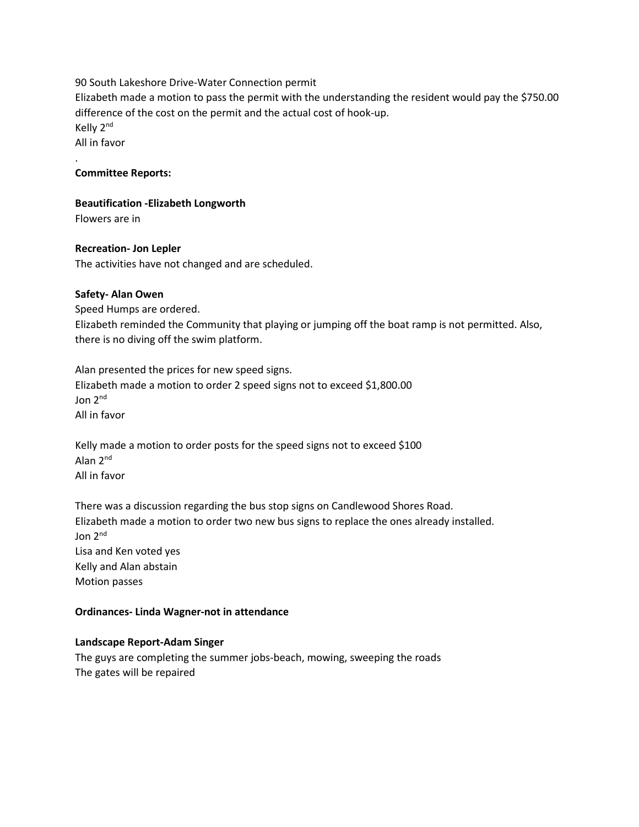90 South Lakeshore Drive-Water Connection permit Elizabeth made a motion to pass the permit with the understanding the resident would pay the \$750.00 difference of the cost on the permit and the actual cost of hook-up. Kelly 2<sup>nd</sup> All in favor

# Committee Reports:

# Beautification -Elizabeth Longworth

Flowers are in

.

# Recreation- Jon Lepler

The activities have not changed and are scheduled.

# Safety- Alan Owen

Speed Humps are ordered. Elizabeth reminded the Community that playing or jumping off the boat ramp is not permitted. Also, there is no diving off the swim platform.

Alan presented the prices for new speed signs. Elizabeth made a motion to order 2 speed signs not to exceed \$1,800.00 Jon 2nd All in favor

Kelly made a motion to order posts for the speed signs not to exceed \$100 Alan 2nd All in favor

There was a discussion regarding the bus stop signs on Candlewood Shores Road. Elizabeth made a motion to order two new bus signs to replace the ones already installed. Jon 2nd Lisa and Ken voted yes Kelly and Alan abstain Motion passes

# Ordinances- Linda Wagner-not in attendance

# Landscape Report-Adam Singer

The guys are completing the summer jobs-beach, mowing, sweeping the roads The gates will be repaired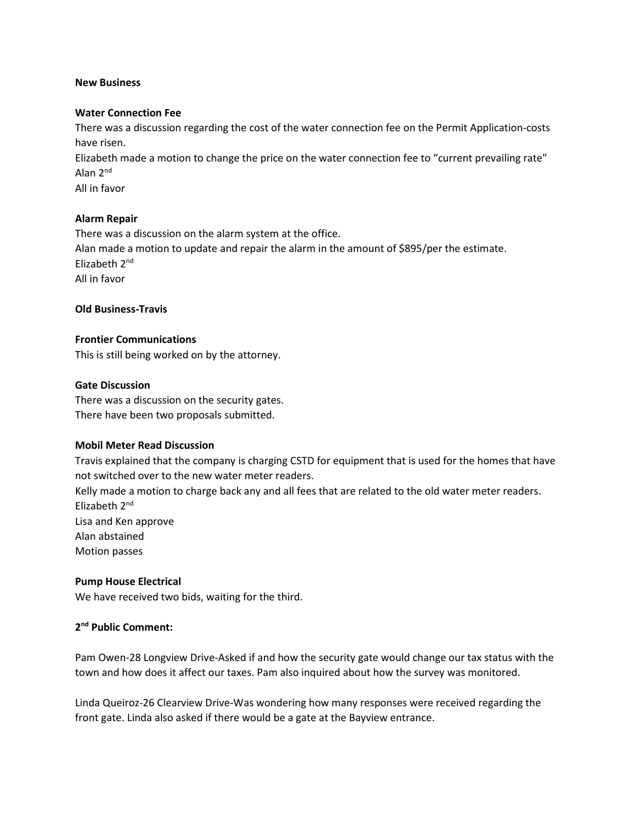#### New Business

#### Water Connection Fee

There was a discussion regarding the cost of the water connection fee on the Permit Application-costs have risen.

Elizabeth made a motion to change the price on the water connection fee to "current prevailing rate" Alan 2nd

All in favor

#### Alarm Repair

There was a discussion on the alarm system at the office. Alan made a motion to update and repair the alarm in the amount of \$895/per the estimate. Elizabeth 2<sup>nd</sup> All in favor

# Old Business-Travis

#### Frontier Communications

This is still being worked on by the attorney.

# Gate Discussion

There was a discussion on the security gates. There have been two proposals submitted.

#### Mobil Meter Read Discussion

Travis explained that the company is charging CSTD for equipment that is used for the homes that have not switched over to the new water meter readers.

Kelly made a motion to charge back any and all fees that are related to the old water meter readers. Elizabeth 2<sup>nd</sup> Lisa and Ken approve Alan abstained

Motion passes

#### Pump House Electrical

We have received two bids, waiting for the third.

#### 2<sup>nd</sup> Public Comment:

Pam Owen-28 Longview Drive-Asked if and how the security gate would change our tax status with the town and how does it affect our taxes. Pam also inquired about how the survey was monitored.

Linda Queiroz-26 Clearview Drive-Was wondering how many responses were received regarding the front gate. Linda also asked if there would be a gate at the Bayview entrance.